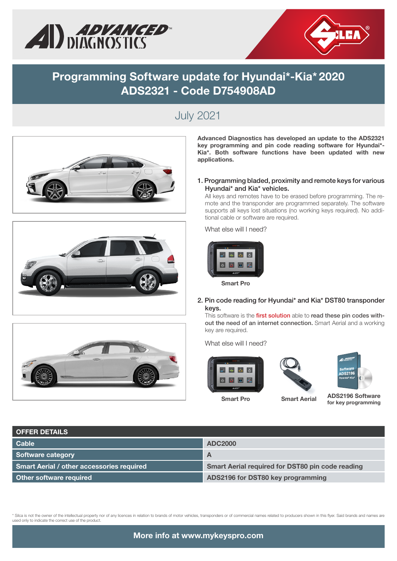



#### **Programming Software update for Hyundai\*-Kia\* 2020 ADS2321 - Code D754908AD**

#### July 2021







Advanced Diagnostics has developed an update to the ADS2321 key programming and pin code reading software for Hyundai\*- Kia\*. Both software functions have been updated with new applications.

1. Programming bladed, proximity and remote keys for various Hyundai\* and Kia\* vehicles.

All keys and remotes have to be erased before programming. The remote and the transponder are programmed separately. The software supports all keys lost situations (no working keys required). No additional cable or software are required.

What else will I need?



2. Pin code reading for Hyundai\* and Kia\* DST80 transponder keys.

This software is the first solution able to read these pin codes without the need of an internet connection. Smart Aerial and a working key are required.

What else will I need?







Smart Pro Smart Aerial

ADS2196 Software for key programming

| <b>OFFER DETAILS</b>                             |                                                  |
|--------------------------------------------------|--------------------------------------------------|
| Cable                                            | <b>ADC2000</b>                                   |
| Software category                                | А                                                |
| <b>Smart Aerial / other accessories required</b> | Smart Aerial required for DST80 pin code reading |
| Other software required                          | ADS2196 for DST80 key programming                |

\* Silca is not the owner of the intellectual property nor of any licences in relation to brands of motor vehicles, transponders or of commercial names related to producers shown in this flyer. Said brands and names are<br>use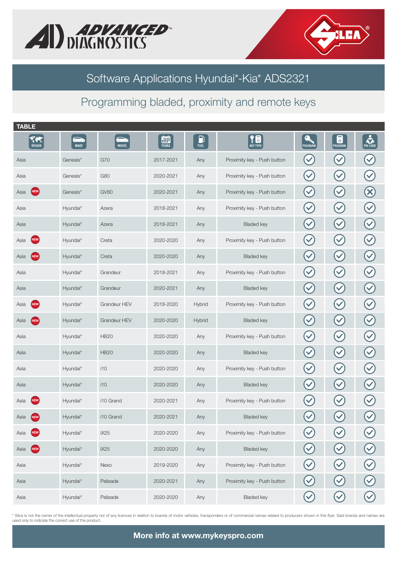



# Programming bladed, proximity and remote keys

| <b>TABLE</b>                |                         |                        |                   |               |                             |                           |                           |                                   |
|-----------------------------|-------------------------|------------------------|-------------------|---------------|-----------------------------|---------------------------|---------------------------|-----------------------------------|
| $\sqrt{2}$<br><b>REGION</b> | <u>ൈ</u><br><b>MAKE</b> | $\sum$<br><b>MODEL</b> | 靊<br><b>YEARS</b> | <b>FUEL</b>   | 16<br><b>KEY TYPE</b>       | PROGRAM.                  | 6<br><b>PROGRAM</b>       | PIN CODE                          |
| Asia                        | Genesis*                | G70                    | 2017-2021         | Any           | Proximity key - Push button | $\blacktriangledown$      | $\left(\checkmark\right)$ | $\blacktriangledown$              |
| Asia                        | Genesis*                | G80                    | 2020-2021         | Any           | Proximity key - Push button | $\blacktriangledown$      | $\left(\checkmark\right)$ | $\left(\checkmark\right)$         |
| NEW<br>Asia                 | Genesis*                | <b>GV80</b>            | 2020-2021         | Any           | Proximity key - Push button | $\blacktriangledown$      | $\left(\checkmark\right)$ | $\bigotimes$                      |
| Asia                        | Hyundai*                | Azera                  | 2018-2021         | Any           | Proximity key - Push button | $\blacktriangledown$      | $\bigvee$                 | $\left(\checkmark\right)$         |
| Asia                        | Hyundai*                | Azera                  | 2018-2021         | Any           | <b>Bladed key</b>           | $\blacktriangledown$      | $\bigodot$                | $\left(\checkmark\right)$         |
| <b>NEW</b><br>Asia          | Hyundai*                | Creta                  | 2020-2020         | Any           | Proximity key - Push button | $\left(\checkmark\right)$ | $\left(\checkmark\right)$ | $\left(\checkmark\right)$         |
| Asia<br>NEW                 | Hyundai*                | Creta                  | 2020-2020         | Any           | <b>Bladed key</b>           | $\blacktriangledown$      | $\left(\checkmark\right)$ | $\left(\checkmark\right)$         |
| Asia                        | Hyundai*                | Grandeur               | 2018-2021         | Any           | Proximity key - Push button | $\left(\checkmark\right)$ | $\bigvee$                 | $\left(\checkmark\right)$         |
| Asia                        | Hyundai*                | Grandeur               | 2020-2021         | Any           | <b>Bladed key</b>           | $\blacktriangledown$      | $\left(\checkmark\right)$ | $\left(\checkmark\right)$         |
| <b>NEW</b><br>Asia          | Hyundai*                | Grandeur HEV           | 2018-2020         | Hybrid        | Proximity key - Push button | $\left(\checkmark\right)$ | $\left(\checkmark\right)$ | $\left(\checkmark\right)$         |
| Asia<br><b>NEW</b>          | Hyundai*                | Grandeur HEV           | 2020-2020         | <b>Hybrid</b> | <b>Bladed key</b>           | $\blacktriangledown$      | $\left(\checkmark\right)$ | $\left(\checkmark\right)$         |
| Asia                        | Hyundai*                | <b>HB20</b>            | 2020-2020         | Any           | Proximity key - Push button | $\left(\checkmark\right)$ | $\left(\checkmark\right)$ | $\left(\checkmark\right)$         |
| Asia                        | Hyundai*                | <b>HB20</b>            | 2020-2020         | Any           | <b>Bladed key</b>           | $\blacktriangledown$      | $\left(\checkmark\right)$ | $\left(\checkmark\right)$         |
| Asia                        | Hyundai*                | i10                    | 2020-2020         | Any           | Proximity key - Push button | $\left(\checkmark\right)$ | $\left(\checkmark\right)$ | $\left(\blacktriangledown\right)$ |
| Asia                        | Hyundai*                | i10                    | 2020-2020         | Any           | <b>Bladed key</b>           | $\blacktriangledown$      | $\left(\checkmark\right)$ | $\blacktriangledown$              |
| <b>NEW</b><br>Asia          | Hyundai*                | i10 Grand              | 2020-2021         | Any           | Proximity key - Push button | $\left(\checkmark\right)$ | $\left(\checkmark\right)$ |                                   |
| Asia<br>NEW                 | Hyundai*                | i10 Grand              | 2020-2021         | Any           | <b>Bladed key</b>           | $\blacktriangledown$      | $\checkmark$              | $\checkmark$                      |
| <b>NEW</b><br>Asia          | Hyundai*                | iX25                   | 2020-2020         | Any           | Proximity key - Push button |                           |                           |                                   |
| Asia<br>NEW                 | Hyundai*                | iX25                   | 2020-2020         | Any           | <b>Bladed key</b>           |                           | $\checkmark$              |                                   |
| Asia                        | Hyundai*                | Nexo                   | 2019-2020         | Any           | Proximity key - Push button |                           | $\blacktriangledown$      |                                   |
| Asia                        | Hyundai*                | Palisade               | 2020-2021         | Any           | Proximity key - Push button |                           | $\blacktriangledown$      |                                   |
| Asia                        | Hyundai*                | Palisade               | 2020-2020         | Any           | <b>Bladed key</b>           |                           | $\blacktriangledown$      |                                   |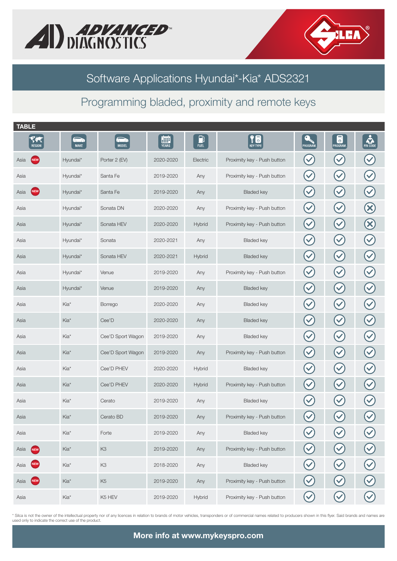



# Programming bladed, proximity and remote keys

| <b>TABLE</b>                |                   |                        |                   |                               |                             |                           |                                  |                           |
|-----------------------------|-------------------|------------------------|-------------------|-------------------------------|-----------------------------|---------------------------|----------------------------------|---------------------------|
| $\sqrt{2}$<br><b>REGION</b> | a,<br><b>MAKE</b> | $\sum$<br><b>MODEL</b> | 靊<br><b>YEARS</b> | $\hbox{\bf R}$<br><b>FUEL</b> | 16<br><b>KEY TYPE</b>       | $\bullet$<br>PROGRAM.     | $\overline{\bullet}$<br>PROGRAM. | PIN CODE                  |
| <b>NEW</b><br>Asia          | Hyundai*          | Porter 2 (EV)          | 2020-2020         | Electric                      | Proximity key - Push button | $\blacktriangledown$      | $\left(\checkmark\right)$        | $\blacktriangledown$      |
| Asia                        | Hyundai*          | Santa Fe               | 2019-2020         | Any                           | Proximity key - Push button | $\blacktriangledown$      | $\bigcirc$                       | $\left(\checkmark\right)$ |
| NEW<br>Asia                 | Hyundai*          | Santa Fe               | 2019-2020         | Any                           | <b>Bladed key</b>           | $\blacktriangledown$      | $\bigodot$                       | $\left(\checkmark\right)$ |
| Asia                        | Hyundai*          | Sonata DN              | 2020-2020         | Any                           | Proximity key - Push button | $\blacktriangledown$      | $\bigodot$                       | $\bigotimes$              |
| Asia                        | Hyundai*          | Sonata HEV             | 2020-2020         | Hybrid                        | Proximity key - Push button | $\blacktriangledown$      | $\bigodot$                       | $\bigotimes$              |
| Asia                        | Hyundai*          | Sonata                 | 2020-2021         | Any                           | <b>Bladed key</b>           | $\blacktriangledown$      | $\left(\checkmark\right)$        | $\left(\checkmark\right)$ |
| Asia                        | Hyundai*          | Sonata HEV             | 2020-2021         | Hybrid                        | <b>Bladed key</b>           | $\blacktriangledown$      | $\bigcirc$                       | $\left(\checkmark\right)$ |
| Asia                        | Hyundai*          | Venue                  | 2019-2020         | Any                           | Proximity key - Push button | $\left(\checkmark\right)$ | $\bigvee$                        | $\left(\checkmark\right)$ |
| Asia                        | Hyundai*          | Venue                  | 2019-2020         | Any                           | <b>Bladed key</b>           | $\blacktriangledown$      | $\left(\checkmark\right)$        | $\left(\checkmark\right)$ |
| Asia                        | Kia*              | Borrego                | 2020-2020         | Any                           | <b>Bladed key</b>           | $\blacktriangledown$      | $\left(\checkmark\right)$        | $\left(\checkmark\right)$ |
| Asia                        | Kia*              | Cee'D                  | 2020-2020         | Any                           | <b>Bladed key</b>           | $\blacktriangledown$      | $\left(\checkmark\right)$        | $\left(\checkmark\right)$ |
| Asia                        | Kia*              | Cee'D Sport Wagon      | 2019-2020         | Any                           | <b>Bladed key</b>           | $\left(\checkmark\right)$ | $\left(\checkmark\right)$        | $\left(\checkmark\right)$ |
| Asia                        | Kia*              | Cee'D Sport Wagon      | 2019-2020         | Any                           | Proximity key - Push button | $\left(\checkmark\right)$ | $\left(\checkmark\right)$        | $\left(\checkmark\right)$ |
| Asia                        | Kia*              | Cee'D PHEV             | 2020-2020         | Hybrid                        | <b>Bladed key</b>           | $\blacktriangledown$      | $\left(\checkmark\right)$        | $\left(\checkmark\right)$ |
| Asia                        | Kia*              | Cee'D PHEV             | 2020-2020         | Hybrid                        | Proximity key - Push button | $\left(\checkmark\right)$ | $\left(\checkmark\right)$        | $\blacktriangledown$      |
| Asia                        | Kia*              | Cerato                 | 2019-2020         | Any                           | <b>Bladed key</b>           | $\blacktriangledown$      | $\left(\checkmark\right)$        |                           |
| Asia                        | Kia*              | Cerato BD              | 2019-2020         | Any                           | Proximity key - Push button | $\blacktriangledown$      | $\blacktriangledown$             | $\checkmark$              |
| Asia                        | Kia*              | Forte                  | 2019-2020         | Any                           | <b>Bladed key</b>           |                           |                                  |                           |
| Asia<br>NEW                 | Kia*              | K <sub>3</sub>         | 2019-2020         | Any                           | Proximity key - Push button |                           |                                  |                           |
| <b>NEW</b><br>Asia          | Kia*              | K <sub>3</sub>         | 2018-2020         | Any                           | <b>Bladed key</b>           |                           |                                  |                           |
| Asia<br><b>NEW</b>          | Kia*              | K <sub>5</sub>         | 2019-2020         | Any                           | Proximity key - Push button |                           |                                  |                           |
| Asia                        | Kia*              | K5 HEV                 | 2019-2020         | Hybrid                        | Proximity key - Push button |                           | $\checkmark$                     |                           |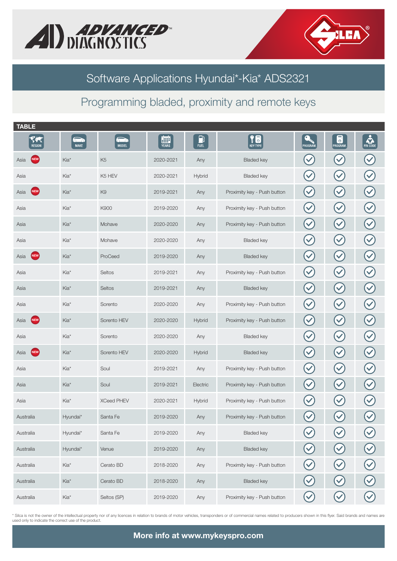



## Programming bladed, proximity and remote keys

| <b>TABLE</b>                |                         |                        |                   |                                     |                             |                       |                           |                      |
|-----------------------------|-------------------------|------------------------|-------------------|-------------------------------------|-----------------------------|-----------------------|---------------------------|----------------------|
| $\sqrt{2}$<br><b>REGION</b> | <u>ு</u><br><b>MAKE</b> | $\sum$<br><b>MODEL</b> | ⊞<br><b>YEARS</b> | $\hfill\blacksquare$<br><b>FUEL</b> | 18<br><b>KEY TYPE</b>       | $\bullet$<br>PROGRAM. | PROGRAM.                  | PIN CODE             |
| NEW<br>Asia                 | Kia*                    | K <sub>5</sub>         | 2020-2021         | Any                                 | <b>Bladed key</b>           | $\checkmark$          | $\blacktriangledown$      | $\checkmark$         |
| Asia                        | Kia*                    | K5 HEV                 | 2020-2021         | Hybrid                              | <b>Bladed key</b>           | $\blacktriangledown$  | $\left(\rightearrow$      | $\blacktriangledown$ |
| <b>NEW</b><br>Asia          | Kia*                    | K <sub>9</sub>         | 2019-2021         | Any                                 | Proximity key - Push button | $\blacktriangledown$  | $\left(\rightearrow$      | $\blacktriangledown$ |
| Asia                        | Kia*                    | K900                   | 2019-2020         | Any                                 | Proximity key - Push button | $\blacktriangledown$  | $\left(\checkmark\right)$ | $\blacktriangledown$ |
| Asia                        | Kia*                    | Mohave                 | 2020-2020         | Any                                 | Proximity key - Push button | $\blacktriangledown$  | $\left(\checkmark\right)$ | $\blacktriangledown$ |
| Asia                        | Kia*                    | Mohave                 | 2020-2020         | Any                                 | <b>Bladed key</b>           | $\blacktriangledown$  | $\left(\checkmark\right)$ | $\blacktriangledown$ |
| <b>NEW</b><br>Asia          | Kia*                    | ProCeed                | 2019-2020         | Any                                 | <b>Bladed key</b>           | $\blacktriangledown$  | $\left(\checkmark\right)$ | $\blacktriangledown$ |
| Asia                        | Kia*                    | Seltos                 | 2019-2021         | Any                                 | Proximity key - Push button | $\blacktriangledown$  | $\left(\checkmark\right)$ | $\blacktriangledown$ |
| Asia                        | Kia*                    | Seltos                 | 2019-2021         | Any                                 | <b>Bladed key</b>           | $\blacktriangledown$  | $\left(\checkmark\right)$ | $\blacktriangledown$ |
| Asia                        | Kia*                    | Sorento                | 2020-2020         | Any                                 | Proximity key - Push button | $\blacktriangledown$  | $\left(\checkmark\right)$ | $\blacktriangledown$ |
| <b>NEW</b><br>Asia          | Kia*                    | Sorento HEV            | 2020-2020         | Hybrid                              | Proximity key - Push button | $\blacktriangledown$  | $\left(\checkmark\right)$ | $\blacktriangledown$ |
| Asia                        | Kia*                    | Sorento                | 2020-2020         | Any                                 | <b>Bladed key</b>           | $\blacktriangledown$  | $\left(\checkmark\right)$ | $\blacktriangledown$ |
| <b>NEW</b><br>Asia          | Kia*                    | Sorento HEV            | 2020-2020         | Hybrid                              | <b>Bladed key</b>           | $\blacktriangledown$  | $\left(\checkmark\right)$ | $\blacktriangledown$ |
| Asia                        | Kia*                    | Soul                   | 2019-2021         | Any                                 | Proximity key - Push button | $\blacktriangledown$  | $\left(\checkmark\right)$ | $\blacktriangledown$ |
| Asia                        | Kia*                    | Soul                   | 2019-2021         | Electric                            | Proximity key - Push button | $\blacktriangledown$  | $\left(\checkmark\right)$ | $\blacktriangledown$ |
| Asia                        | Kia*                    | <b>XCeed PHEV</b>      | 2020-2021         | Hybrid                              | Proximity key - Push button | $\blacktriangledown$  | $\blacktriangledown$      |                      |
| Australia                   | Hyundai*                | Santa Fe               | 2019-2020         | Any                                 | Proximity key - Push button | $\blacktriangledown$  | $\blacktriangledown$      | $\checkmark$         |
| Australia                   | Hyundai*                | Santa Fe               | 2019-2020         | Any                                 | <b>Bladed key</b>           |                       | $\checkmark$              |                      |
| Australia                   | Hyundai*                | Venue                  | 2019-2020         | Any                                 | <b>Bladed key</b>           | $\blacktriangledown$  | $\left(\checkmark\right)$ |                      |
| Australia                   | Kia*                    | Cerato BD              | 2018-2020         | Any                                 | Proximity key - Push button | $\blacktriangledown$  | $\left(\checkmark\right)$ | $\blacktriangledown$ |
| Australia                   | Kia*                    | Cerato BD              | 2018-2020         | Any                                 | <b>Bladed key</b>           | $\checkmark$          | $\blacktriangledown$      |                      |
| Australia                   | Kia*                    | Seltos (SP)            | 2019-2020         | Any                                 | Proximity key - Push button | $\blacktriangledown$  | $\bigvee$                 |                      |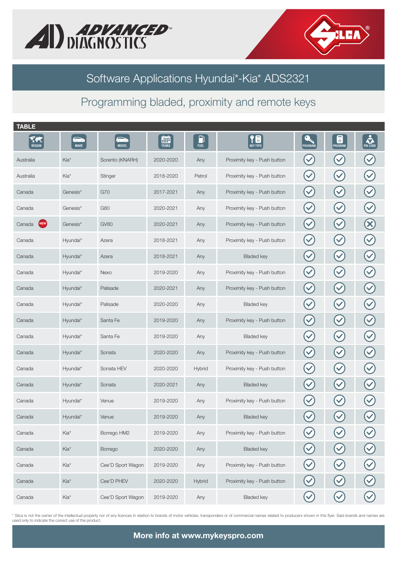



# Programming bladed, proximity and remote keys

| <b>TABLE</b>                |                             |                        |                   |                               |                             |                          |                           |                           |
|-----------------------------|-----------------------------|------------------------|-------------------|-------------------------------|-----------------------------|--------------------------|---------------------------|---------------------------|
| $\sqrt{2}$<br><b>REGION</b> | <del>ക</del><br><b>MAKE</b> | $\sum$<br><b>MODEL</b> | 雦<br><b>YEARS</b> | $\hbox{\bf R}$<br><b>FUEL</b> | 18<br><b>KEY TYPE</b>       | $\mathbf{C}$<br>PROGRAM. | PROGRAM.                  | PIN CODE                  |
| Australia                   | Kia*                        | Sorento (KNARH)        | 2020-2020         | Any                           | Proximity key - Push button | $\blacktriangledown$     | $\blacktriangledown$      | $\blacktriangledown$      |
| Australia                   | Kia*                        | Stinger                | 2018-2020         | Petrol                        | Proximity key - Push button | $\blacktriangledown$     | $\left(\checkmark\right)$ | $\blacktriangledown$      |
| Canada                      | Genesis*                    | G70                    | 2017-2021         | Any                           | Proximity key - Push button | $\blacktriangledown$     | $\left(\checkmark\right)$ | $\blacktriangledown$      |
| Canada                      | Genesis*                    | G80                    | 2020-2021         | Any                           | Proximity key - Push button | $\blacktriangledown$     | $\left(\checkmark\right)$ | $\blacktriangledown$      |
| NEW<br>Canada               | Genesis*                    | <b>GV80</b>            | 2020-2021         | Any                           | Proximity key - Push button | $\blacktriangledown$     | $\left(\checkmark\right)$ | $\bigotimes$              |
| Canada                      | Hyundai*                    | Azera                  | 2018-2021         | Any                           | Proximity key - Push button | $\blacktriangledown$     | $\left(\checkmark\right)$ | $\left(\checkmark\right)$ |
| Canada                      | Hyundai*                    | Azera                  | 2018-2021         | Any                           | <b>Bladed key</b>           | $\blacktriangledown$     | $\left(\checkmark\right)$ | $\blacktriangledown$      |
| Canada                      | Hyundai*                    | Nexo                   | 2019-2020         | Any                           | Proximity key - Push button | $\blacktriangledown$     | $\left(\checkmark\right)$ | $\blacktriangledown$      |
| Canada                      | Hyundai*                    | Palisade               | 2020-2021         | Any                           | Proximity key - Push button | $\blacktriangledown$     | $\left(\checkmark\right)$ | $\blacktriangledown$      |
| Canada                      | Hyundai*                    | Palisade               | 2020-2020         | Any                           | <b>Bladed key</b>           | $\blacktriangledown$     | $\left(\checkmark\right)$ | $\left(\checkmark\right)$ |
| Canada                      | Hyundai*                    | Santa Fe               | 2019-2020         | Any                           | Proximity key - Push button | $\blacktriangledown$     | $\blacktriangledown$      | $\left(\checkmark\right)$ |
| Canada                      | Hyundai*                    | Santa Fe               | 2019-2020         | Any                           | <b>Bladed key</b>           | $\blacktriangledown$     | $\left(\checkmark\right)$ | $\blacktriangledown$      |
| Canada                      | Hyundai*                    | Sonata                 | 2020-2020         | Any                           | Proximity key - Push button | $\blacktriangledown$     | $\left(\checkmark\right)$ | $\left(\checkmark\right)$ |
| Canada                      | Hyundai*                    | Sonata HEV             | 2020-2020         | Hybrid                        | Proximity key - Push button | $\blacktriangledown$     | $\left(\checkmark\right)$ | $\blacktriangledown$      |
| Canada                      | Hyundai*                    | Sonata                 | 2020-2021         | Any                           | <b>Bladed key</b>           | $\blacktriangledown$     | $\left(\checkmark\right)$ | $\blacktriangledown$      |
| Canada                      | Hyundai*                    | Venue                  | 2019-2020         | Any                           | Proximity key - Push button | $\blacktriangledown$     | $\left(\checkmark\right)$ |                           |
| Canada                      | Hyundai*                    | Venue                  | 2019-2020         | Any                           | <b>Bladed key</b>           | $\blacktriangledown$     | $\blacktriangledown$      | $\checkmark$              |
| Canada                      | Kia*                        | Borrego HM2            | 2019-2020         | Any                           | Proximity key - Push button |                          |                           |                           |
| Canada                      | Kia*                        | Borrego                | 2020-2020         | Any                           | <b>Bladed key</b>           |                          |                           |                           |
| Canada                      | Kia*                        | Cee'D Sport Wagon      | 2019-2020         | Any                           | Proximity key - Push button |                          |                           |                           |
| Canada                      | Kia*                        | Cee'D PHEV             | 2020-2020         | Hybrid                        | Proximity key - Push button |                          |                           |                           |
| Canada                      | Kia*                        | Cee'D Sport Wagon      | 2019-2020         | Any                           | <b>Bladed key</b>           |                          |                           |                           |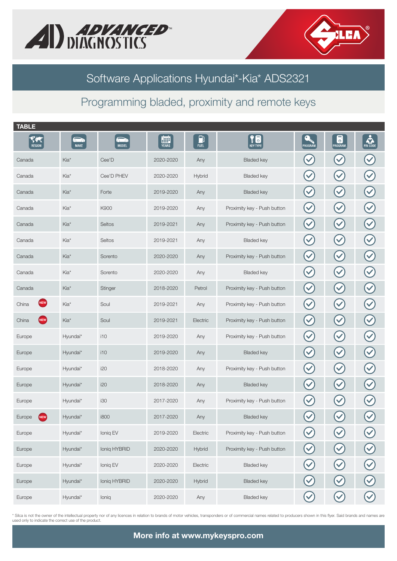



## Programming bladed, proximity and remote keys

| <b>TABLE</b>                |                             |                           |                   |                             |                              |                      |                           |                           |
|-----------------------------|-----------------------------|---------------------------|-------------------|-----------------------------|------------------------------|----------------------|---------------------------|---------------------------|
| $\sqrt{2}$<br><b>REGION</b> | <del>ക</del><br><b>MAKE</b> | $\bullet$<br><b>MODEL</b> | 圃<br><b>YEARS</b> | $\mathbf{R}$<br><b>FUEL</b> | <b>TE</b><br><b>KEY TYPE</b> | $\bullet$<br>PROGRAM | PROGRAM.                  | PIN CODE                  |
| Canada                      | Kia*                        | Cee'D                     | 2020-2020         | Any                         | <b>Bladed key</b>            | $\blacktriangledown$ | $\mathbf{v}$              |                           |
| Canada                      | Kia*                        | Cee'D PHEV                | 2020-2020         | <b>Hybrid</b>               | <b>Bladed key</b>            | $\blacktriangledown$ | $\bigvee$                 | $\blacktriangledown$      |
| Canada                      | Kia*                        | Forte                     | 2019-2020         | Any                         | <b>Bladed key</b>            | $\blacktriangledown$ | $\bigvee$                 | $\blacktriangledown$      |
| Canada                      | Kia*                        | K900                      | 2019-2020         | Any                         | Proximity key - Push button  | $\searrow$           | $\bigvee$                 | $\blacktriangledown$      |
| Canada                      | Kia*                        | Seltos                    | 2019-2021         | Any                         | Proximity key - Push button  | $\blacktriangledown$ | $\left(\checkmark\right)$ | $\checkmark$              |
| Canada                      | Kia*                        | Seltos                    | 2019-2021         | Any                         | <b>Bladed key</b>            | $\blacktriangledown$ | $\left(\rightearrow$      | $\blacktriangledown$      |
| Canada                      | Kia*                        | Sorento                   | 2020-2020         | Any                         | Proximity key - Push button  | $\blacktriangledown$ | $\left(\checkmark\right)$ | $\blacktriangledown$      |
| Canada                      | Kia*                        | Sorento                   | 2020-2020         | Any                         | <b>Bladed key</b>            | $\blacktriangledown$ | $\left(\checkmark\right)$ | $\blacktriangledown$      |
| Canada                      | Kia*                        | Stinger                   | 2018-2020         | Petrol                      | Proximity key - Push button  | $\blacktriangledown$ | $\left(\checkmark\right)$ | $\blacktriangledown$      |
| NEW<br>China                | Kia*                        | Soul                      | 2019-2021         | Any                         | Proximity key - Push button  | $\blacktriangledown$ | $\left(\checkmark\right)$ |                           |
| NEW<br>China                | Kia*                        | Soul                      | 2019-2021         | Electric                    | Proximity key - Push button  | $\blacktriangledown$ | $\left(\checkmark\right)$ |                           |
| Europe                      | Hyundai*                    | i10                       | 2019-2020         | Any                         | Proximity key - Push button  | $\blacktriangledown$ | $\left(\checkmark\right)$ |                           |
| Europe                      | Hyundai*                    | i10                       | 2019-2020         | Any                         | <b>Bladed key</b>            | $\blacktriangledown$ | $\left(\checkmark\right)$ |                           |
| Europe                      | Hyundai*                    | i20                       | 2018-2020         | Any                         | Proximity key - Push button  | $\blacktriangledown$ | $\left(\checkmark\right)$ |                           |
| Europe                      | Hyundai*                    | i20                       | 2018-2020         | Any                         | <b>Bladed key</b>            | $\blacktriangledown$ | $\left(\checkmark\right)$ |                           |
| Europe                      | Hyundai*                    | i30                       | 2017-2020         | Any                         | Proximity key - Push button  | $\blacktriangledown$ | $\blacktriangledown$      |                           |
| Europe<br><b>NEW</b>        | Hyundai*                    | <b>i800</b>               | 2017-2020         | Any                         | <b>Bladed key</b>            | $\blacktriangledown$ | $\checkmark$              |                           |
| Europe                      | Hyundai*                    | Ioniq EV                  | 2019-2020         | Electric                    | Proximity key - Push button  | $\blacktriangledown$ | $\blacktriangledown$      | $\blacktriangledown$      |
| Europe                      | Hyundai*                    | Ioniq HYBRID              | 2020-2020         | Hybrid                      | Proximity key - Push button  | $\blacktriangledown$ | $\bigvee$                 | $\left(\checkmark\right)$ |
| Europe                      | Hyundai*                    | Ioniq EV                  | 2020-2020         | Electric                    | <b>Bladed key</b>            | $\blacktriangledown$ | $\left(\checkmark\right)$ | $\left(\checkmark\right)$ |
| Europe                      | Hyundai*                    | Ioniq HYBRID              | 2020-2020         | Hybrid                      | <b>Bladed key</b>            | $\blacktriangledown$ | $\left(\checkmark\right)$ | $\blacktriangledown$      |
| Europe                      | Hyundai*                    | loniq                     | 2020-2020         | Any                         | <b>Bladed key</b>            | $\blacktriangledown$ | $\bigvee$                 | $\blacktriangledown$      |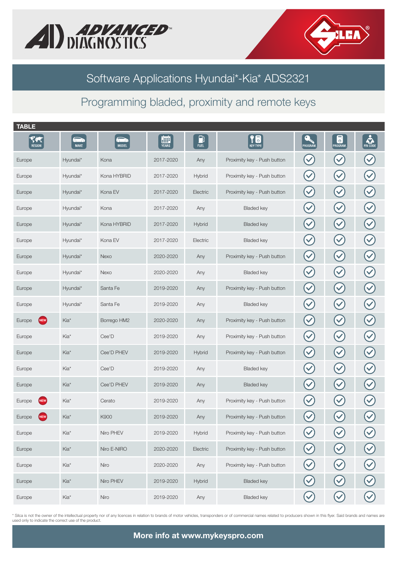



# Programming bladed, proximity and remote keys

| <b>TABLE</b>                |                             |                           |                   |                                                                                                                                                                                                                                                                                                                                                                                                                                                                                                                                                                                                                                           |                             |                                         |                           |                           |
|-----------------------------|-----------------------------|---------------------------|-------------------|-------------------------------------------------------------------------------------------------------------------------------------------------------------------------------------------------------------------------------------------------------------------------------------------------------------------------------------------------------------------------------------------------------------------------------------------------------------------------------------------------------------------------------------------------------------------------------------------------------------------------------------------|-----------------------------|-----------------------------------------|---------------------------|---------------------------|
| $\sqrt{2}$<br><b>REGION</b> | <del>ക</del><br><b>MAKE</b> | $\bullet$<br><b>MODEL</b> | 圃<br><b>YEARS</b> | $\begin{tabular}{ c c } \hline \quad \quad & \quad \quad \\ \hline \quad \quad & \quad \\ \hline \quad \quad & \quad \\ \hline \quad \quad & \quad \\ \quad \quad \quad & \quad \\ \quad \quad \quad & \quad \\ \quad \quad \quad & \quad \\ \quad \quad \quad & \quad \\ \quad \quad & \quad \\ \quad \quad & \quad \\ \quad \quad & \quad \\ \quad \quad & \quad \\ \quad \quad & \quad \\ \quad \quad & \quad \\ \quad \quad & \quad \\ \quad \quad & \quad \\ \quad \quad & \quad \\ \quad \quad & \quad \\ \quad \quad & \quad \\ \quad \quad & \quad \\ \quad \quad & \quad \\ \quad \quad & \quad \\ \quad \quad & \quad \\ \quad$ | 18<br><b>KEY TYPE</b>       | $\bullet$<br>PROGRAM.                   | PROGRAM.                  | PIN CODE                  |
| Europe                      | Hyundai*                    | Kona                      | 2017-2020         | Any                                                                                                                                                                                                                                                                                                                                                                                                                                                                                                                                                                                                                                       | Proximity key - Push button | $\blacktriangledown$                    | $\blacktriangledown$      | $\blacktriangledown$      |
| Europe                      | Hyundai*                    | Kona HYBRID               | 2017-2020         | Hybrid                                                                                                                                                                                                                                                                                                                                                                                                                                                                                                                                                                                                                                    | Proximity key - Push button | $\blacktriangledown$                    | $\bigvee$                 | $\left(\checkmark\right)$ |
| Europe                      | Hyundai*                    | Kona EV                   | 2017-2020         | Electric                                                                                                                                                                                                                                                                                                                                                                                                                                                                                                                                                                                                                                  | Proximity key - Push button | $\blacktriangledown$                    | $\left(\checkmark\right)$ | $\left(\checkmark\right)$ |
| Europe                      | Hyundai*                    | Kona                      | 2017-2020         | Any                                                                                                                                                                                                                                                                                                                                                                                                                                                                                                                                                                                                                                       | <b>Bladed key</b>           | $\blacktriangledown$                    | $\left(\checkmark\right)$ | $\left(\checkmark\right)$ |
| Europe                      | Hyundai*                    | Kona HYBRID               | 2017-2020         | Hybrid                                                                                                                                                                                                                                                                                                                                                                                                                                                                                                                                                                                                                                    | <b>Bladed key</b>           | $\blacktriangledown$                    | $\left(\checkmark\right)$ | $\left(\checkmark\right)$ |
| Europe                      | Hyundai*                    | Kona EV                   | 2017-2020         | Electric                                                                                                                                                                                                                                                                                                                                                                                                                                                                                                                                                                                                                                  | <b>Bladed key</b>           | $\left\langle \mathcal{S}\right\rangle$ | $\left(\checkmark\right)$ | $(\checkmark)$            |
| Europe                      | Hyundai*                    | Nexo                      | 2020-2020         | Any                                                                                                                                                                                                                                                                                                                                                                                                                                                                                                                                                                                                                                       | Proximity key - Push button | $\blacktriangledown$                    | $\left(\checkmark\right)$ | $\left(\checkmark\right)$ |
| Europe                      | Hyundai*                    | Nexo                      | 2020-2020         | Any                                                                                                                                                                                                                                                                                                                                                                                                                                                                                                                                                                                                                                       | <b>Bladed key</b>           | $\blacktriangledown$                    | $\left(\checkmark\right)$ | $\left(\checkmark\right)$ |
| Europe                      | Hyundai*                    | Santa Fe                  | 2019-2020         | Any                                                                                                                                                                                                                                                                                                                                                                                                                                                                                                                                                                                                                                       | Proximity key - Push button | $\blacktriangledown$                    | $\bigodot$                | $\left(\checkmark\right)$ |
| Europe                      | Hyundai*                    | Santa Fe                  | 2019-2020         | Any                                                                                                                                                                                                                                                                                                                                                                                                                                                                                                                                                                                                                                       | <b>Bladed key</b>           | $\blacktriangledown$                    | $\left(\checkmark\right)$ | $\left(\checkmark\right)$ |
| NEW<br>Europe               | Kia*                        | Borrego HM2               | 2020-2020         | Any                                                                                                                                                                                                                                                                                                                                                                                                                                                                                                                                                                                                                                       | Proximity key - Push button | $\blacktriangledown$                    | $\left(\checkmark\right)$ | $\left(\checkmark\right)$ |
| Europe                      | Kia*                        | Cee'D                     | 2019-2020         | Any                                                                                                                                                                                                                                                                                                                                                                                                                                                                                                                                                                                                                                       | Proximity key - Push button | $\blacktriangledown$                    | $\bigvee$                 | $\left(\checkmark\right)$ |
| Europe                      | Kia*                        | Cee'D PHEV                | 2019-2020         | Hybrid                                                                                                                                                                                                                                                                                                                                                                                                                                                                                                                                                                                                                                    | Proximity key - Push button | $\blacktriangledown$                    | $\left(\checkmark\right)$ | $\left(\checkmark\right)$ |
| Europe                      | Kia*                        | Cee'D                     | 2019-2020         | Any                                                                                                                                                                                                                                                                                                                                                                                                                                                                                                                                                                                                                                       | <b>Bladed key</b>           | $\blacktriangledown$                    | $\blacktriangledown$      | $\left(\checkmark\right)$ |
| Europe                      | Kia*                        | Cee'D PHEV                | 2019-2020         | Any                                                                                                                                                                                                                                                                                                                                                                                                                                                                                                                                                                                                                                       | <b>Bladed key</b>           | $\blacktriangledown$                    | $\left(\checkmark\right)$ | $\left(\checkmark\right)$ |
| <b>NEW</b><br>Europe        | Kia*                        | Cerato                    | 2019-2020         | Any                                                                                                                                                                                                                                                                                                                                                                                                                                                                                                                                                                                                                                       | Proximity key - Push button | $\left\langle \mathcal{S}\right\rangle$ | $\left(\checkmark\right)$ | $\blacktriangledown$      |
| <b>NEW</b><br>Europe        | Kia*                        | K900                      | 2019-2020         | Any                                                                                                                                                                                                                                                                                                                                                                                                                                                                                                                                                                                                                                       | Proximity key - Push button | $\blacktriangledown$                    | $\blacktriangledown$      | $\blacktriangledown$      |
| Europe                      | Kia*                        | Niro PHEV                 | 2019-2020         | Hybrid                                                                                                                                                                                                                                                                                                                                                                                                                                                                                                                                                                                                                                    | Proximity key - Push button |                                         |                           |                           |
| Europe                      | Kia*                        | Niro E-NIRO               | 2020-2020         | Electric                                                                                                                                                                                                                                                                                                                                                                                                                                                                                                                                                                                                                                  | Proximity key - Push button | $\checkmark$                            | $\blacktriangledown$      |                           |
| Europe                      | Kia*                        | Niro                      | 2020-2020         | Any                                                                                                                                                                                                                                                                                                                                                                                                                                                                                                                                                                                                                                       | Proximity key - Push button | $\checkmark$                            | $\blacktriangledown$      |                           |
| Europe                      | Kia*                        | Niro PHEV                 | 2019-2020         | Hybrid                                                                                                                                                                                                                                                                                                                                                                                                                                                                                                                                                                                                                                    | <b>Bladed key</b>           |                                         | $\blacktriangledown$      |                           |
| Europe                      | Kia*                        | Niro                      | 2019-2020         | Any                                                                                                                                                                                                                                                                                                                                                                                                                                                                                                                                                                                                                                       | <b>Bladed key</b>           |                                         | $\blacktriangledown$      |                           |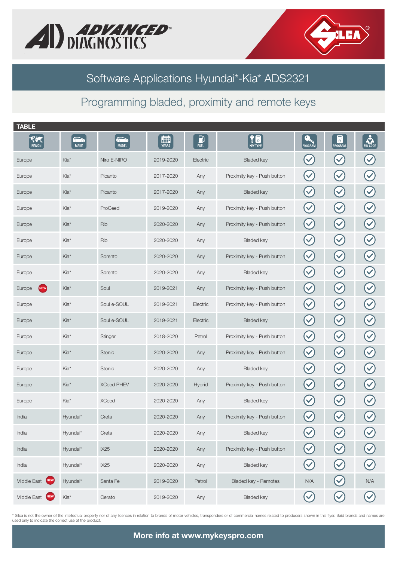



## Programming bladed, proximity and remote keys

| <b>TABLE</b>                |                         |                        |                   |                               |                             |                      |                           |                           |
|-----------------------------|-------------------------|------------------------|-------------------|-------------------------------|-----------------------------|----------------------|---------------------------|---------------------------|
| $\sqrt{2}$<br><b>REGION</b> | <u>ക</u><br><b>MAKE</b> | $\sum$<br><b>MODEL</b> | 圃<br><b>YEARS</b> | $\hbox{\bf R}$<br><b>FUEL</b> | 96<br><b>KEY TYPE</b>       | $\bullet$<br>PROGRAM | PROGRAM.                  | PIN CODE                  |
| Europe                      | Kia*                    | Niro E-NIRO            | 2019-2020         | Electric                      | <b>Bladed key</b>           | $\blacktriangledown$ | $\blacktriangledown$      |                           |
| Europe                      | Kia*                    | Picanto                | 2017-2020         | Any                           | Proximity key - Push button | $\bigvee$            | $\bigvee$                 | $\blacktriangledown$      |
| Europe                      | Kia*                    | Picanto                | 2017-2020         | Any                           | <b>Bladed key</b>           | $\blacktriangledown$ | $\bigvee$                 | $\blacktriangledown$      |
| Europe                      | Kia*                    | ProCeed                | 2019-2020         | Any                           | Proximity key - Push button | $\bigvee$            | $\bigvee$                 | $\blacktriangledown$      |
| Europe                      | Kia*                    | Rio                    | 2020-2020         | Any                           | Proximity key - Push button | $\blacktriangledown$ | $\bigvee$                 | $\blacktriangledown$      |
| Europe                      | Kia*                    | Rio                    | 2020-2020         | Any                           | <b>Bladed key</b>           | $\blacktriangledown$ | $\left(\checkmark\right)$ | $\blacktriangledown$      |
| Europe                      | Kia*                    | Sorento                | 2020-2020         | Any                           | Proximity key - Push button | $\blacktriangledown$ | $\left(\checkmark\right)$ | $\blacktriangledown$      |
| Europe                      | Kia*                    | Sorento                | 2020-2020         | Any                           | <b>Bladed key</b>           | $\blacktriangledown$ | $\left(\checkmark\right)$ | $\blacktriangledown$      |
| NEW<br>Europe               | Kia*                    | Soul                   | 2019-2021         | Any                           | Proximity key - Push button | $\blacktriangledown$ | $\left(\checkmark\right)$ | $\blacktriangledown$      |
| Europe                      | Kia*                    | Soul e-SOUL            | 2019-2021         | Electric                      | Proximity key - Push button | $\blacktriangledown$ | $\left(\checkmark\right)$ | $\blacktriangledown$      |
| Europe                      | Kia*                    | Soul e-SOUL            | 2019-2021         | Electric                      | <b>Bladed key</b>           | $\blacktriangledown$ | $\blacktriangledown$      | $\blacktriangledown$      |
| Europe                      | Kia*                    | Stinger                | 2018-2020         | Petrol                        | Proximity key - Push button | $\blacktriangledown$ | $\left(\checkmark\right)$ | $\blacktriangledown$      |
| Europe                      | Kia*                    | Stonic                 | 2020-2020         | Any                           | Proximity key - Push button | $\blacktriangledown$ | $\left(\checkmark\right)$ | $\blacktriangledown$      |
| Europe                      | Kia*                    | Stonic                 | 2020-2020         | Any                           | <b>Bladed key</b>           | $\blacktriangledown$ | $\left(\checkmark\right)$ | $\blacktriangledown$      |
| Europe                      | Kia*                    | <b>XCeed PHEV</b>      | 2020-2020         | Hybrid                        | Proximity key - Push button | $\blacktriangledown$ | $\left(\checkmark\right)$ |                           |
| Europe                      | Kia*                    | <b>XCeed</b>           | 2020-2020         | Any                           | <b>Bladed key</b>           | $\blacktriangledown$ | $\blacktriangledown$      |                           |
| India                       | Hyundai*                | Creta                  | 2020-2020         | Any                           | Proximity key - Push button | $\blacktriangledown$ | $\blacktriangledown$      |                           |
| India                       | Hyundai*                | Creta                  | 2020-2020         | Any                           | <b>Bladed key</b>           | $\checkmark$         | $\blacktriangledown$      | $\blacktriangledown$      |
| India                       | Hyundai*                | iX <sub>25</sub>       | 2020-2020         | Any                           | Proximity key - Push button | $\blacktriangledown$ | $\left(\checkmark\right)$ | $\blacktriangledown$      |
| India                       | Hyundai*                | iX <sub>25</sub>       | 2020-2020         | Any                           | <b>Bladed key</b>           | $\blacktriangledown$ | $\left(\checkmark\right)$ | $\left(\checkmark\right)$ |
| NEW<br>Middle East          | Hyundai*                | Santa Fe               | 2019-2020         | Petrol                        | Bladed key - Remotes        | N/A                  | $\checkmark$              | N/A                       |
| NEW<br>Middle East          | Kia*                    | Cerato                 | 2019-2020         | Any                           | <b>Bladed key</b>           | $\checkmark$         | $\checkmark$              | $\blacktriangledown$      |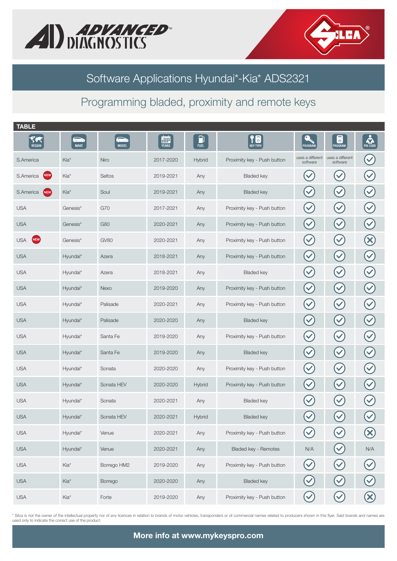



# Programming bladed, proximity and remote keys

| <b>TABLE</b>                |                             |                           |                   |                                     |                             |                              |                                     |                           |  |
|-----------------------------|-----------------------------|---------------------------|-------------------|-------------------------------------|-----------------------------|------------------------------|-------------------------------------|---------------------------|--|
| $\sqrt{2}$<br><b>REGION</b> | <del>ക</del><br><b>MAKE</b> | $\bullet$<br><b>MODEL</b> | ⊞<br><b>YEARS</b> | $\hfill\blacksquare$<br><b>FUEL</b> | 18<br><b>KEY TYPE</b>       | PROGRAM                      | $\overline{\mathbf{b}}$<br>PROGRAM. | PIN CODE                  |  |
| S.America                   | Kia*                        | <b>Niro</b>               | 2017-2020         | Hybrid                              | Proximity key - Push button | uses a different<br>software | uses a different<br>software        | $\blacktriangledown$      |  |
| NEW<br>S.America            | Kia*                        | Seltos                    | 2019-2021         | Any                                 | <b>Bladed key</b>           | $\checkmark$                 | $\checkmark$                        | $\blacktriangledown$      |  |
| S.America<br>(NEW)          | Kia*                        | Soul                      | 2019-2021         | Any                                 | <b>Bladed key</b>           | $\blacktriangledown$         | $\left(\checkmark\right)$           | $\blacktriangledown$      |  |
| <b>USA</b>                  | Genesis*                    | G70                       | 2017-2021         | Any                                 | Proximity key - Push button | $\blacktriangledown$         | $\left(\checkmark\right)$           | $\blacktriangledown$      |  |
| <b>USA</b>                  | Genesis*                    | G80                       | 2020-2021         | Any                                 | Proximity key - Push button | $\blacktriangledown$         | $\left(\checkmark\right)$           | $\left(\checkmark\right)$ |  |
| NEW<br><b>USA</b>           | Genesis*                    | <b>GV80</b>               | 2020-2021         | Any                                 | Proximity key - Push button | $\blacktriangledown$         | $\left(\checkmark\right)$           | $\bigotimes$              |  |
| <b>USA</b>                  | Hyundai*                    | Azera                     | 2018-2021         | Any                                 | Proximity key - Push button | $\blacktriangledown$         | $\blacktriangledown$                | $\left(\checkmark\right)$ |  |
| <b>USA</b>                  | Hyundai*                    | Azera                     | 2018-2021         | Any                                 | <b>Bladed key</b>           | $\blacktriangledown$         | $\left(\checkmark\right)$           | $\blacktriangledown$      |  |
| <b>USA</b>                  | Hyundai*                    | Nexo                      | 2019-2020         | Any                                 | Proximity key - Push button | $\blacktriangledown$         | $\blacktriangledown$                | $\blacktriangledown$      |  |
| <b>USA</b>                  | Hyundai*                    | Palisade                  | 2020-2021         | Any                                 | Proximity key - Push button | $\blacktriangledown$         | $\left(\checkmark\right)$           | $\blacktriangledown$      |  |
| <b>USA</b>                  | Hyundai*                    | Palisade                  | 2020-2020         | Any                                 | <b>Bladed key</b>           | $\blacktriangledown$         | $\left(\checkmark\right)$           | $\blacktriangledown$      |  |
| <b>USA</b>                  | Hyundai*                    | Santa Fe                  | 2019-2020         | Any                                 | Proximity key - Push button | $\left(\checkmark\right)$    | $\left(\checkmark\right)$           | $\blacktriangledown$      |  |
| <b>USA</b>                  | Hyundai*                    | Santa Fe                  | 2019-2020         | Any                                 | <b>Bladed key</b>           | $\blacktriangledown$         | $\left(\checkmark\right)$           | $\blacktriangledown$      |  |
| <b>USA</b>                  | Hyundai*                    | Sonata                    | 2020-2020         | Any                                 | Proximity key - Push button | $\blacktriangledown$         | $\left(\checkmark\right)$           | $\blacktriangledown$      |  |
| <b>USA</b>                  | Hyundai*                    | Sonata HEV                | 2020-2020         | <b>Hybrid</b>                       | Proximity key - Push button | $\blacktriangledown$         | $\left(\checkmark\right)$           | $\blacktriangledown$      |  |
| <b>USA</b>                  | Hyundai*                    | Sonata                    | 2020-2021         | Any                                 | <b>Bladed key</b>           | $\blacktriangledown$         | $\left(\checkmark\right)$           |                           |  |
| <b>USA</b>                  | Hyundai*                    | Sonata HEV                | 2020-2021         | <b>Hybrid</b>                       | <b>Bladed key</b>           | $\blacktriangledown$         | $\checkmark$                        | $\checkmark$              |  |
| <b>USA</b>                  | Hyundai*                    | Venue                     | 2020-2021         | Any                                 | Proximity key - Push button |                              |                                     | $\infty$                  |  |
| <b>USA</b>                  | Hyundai*                    | Venue                     | 2020-2021         | Any                                 | Bladed key - Remotes        | N/A                          |                                     | N/A                       |  |
| <b>USA</b>                  | Kia*                        | Borrego HM2               | 2019-2020         | Any                                 | Proximity key - Push button | $\checkmark$                 | $\blacktriangledown$                |                           |  |
| <b>USA</b>                  | Kia*                        | Borrego                   | 2020-2020         | Any                                 | <b>Bladed key</b>           |                              | $\checkmark$                        |                           |  |
| <b>USA</b>                  | Kia*                        | Forte                     | 2019-2020         | Any                                 | Proximity key - Push button |                              | $\blacktriangledown$                | $\bm{\times}$             |  |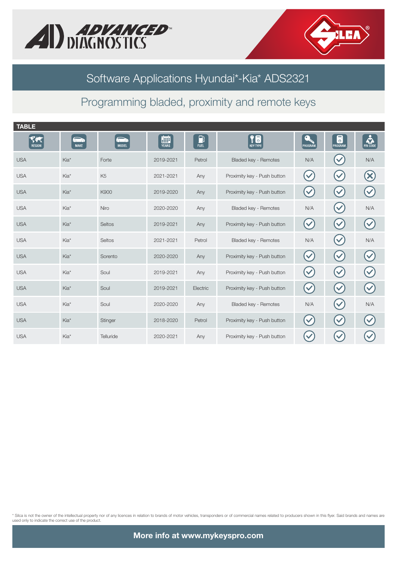



# Programming bladed, proximity and remote keys

| $\sum$<br><b>MAKE</b> | $\bullet$<br><b>MODEL</b> | 繭<br><b>YEARS</b> | $\mathbf{R}$<br><b>FUEL</b> | 96<br><b>KEY TYPE</b>       | $\mathbf{C}$<br>PROGRAM | $\overline{\mathbf{6}}$<br><b>PROGRAM</b> | $\sum_{\text{PIN CODE}}$   |
|-----------------------|---------------------------|-------------------|-----------------------------|-----------------------------|-------------------------|-------------------------------------------|----------------------------|
| Kia*                  | Forte                     | 2019-2021         | Petrol                      | Bladed key - Remotes        | N/A                     | $\blacktriangledown$                      | N/A                        |
| Kia*                  | K <sub>5</sub>            | 2021-2021         | Any                         | Proximity key - Push button | $\blacktriangledown$    | $\blacktriangledown$                      | $\left( \mathbf{x}\right)$ |
| Kia*                  | K900                      | 2019-2020         | Any                         | Proximity key - Push button | $\checkmark$            | $\checkmark$                              | $\blacktriangledown$       |
| Kia*                  | Niro                      | 2020-2020         | Any                         | Bladed key - Remotes        | N/A                     | $\checkmark$                              | N/A                        |
| Kia*                  | Seltos                    | 2019-2021         | Any                         | Proximity key - Push button | $\blacktriangledown$    | $\blacktriangledown$                      | $\blacktriangledown$       |
| Kia*                  | Seltos                    | 2021-2021         | Petrol                      | Bladed key - Remotes        | N/A                     | $\checkmark$                              | N/A                        |
| Kia*                  | Sorento                   | 2020-2020         | Any                         | Proximity key - Push button | $\blacktriangledown$    | $\blacktriangledown$                      | $\blacktriangledown$       |
| Kia*                  | Soul                      | 2019-2021         | Any                         | Proximity key - Push button | $\blacktriangledown$    | $\blacktriangledown$                      | $\blacktriangledown$       |
| Kia*                  | Soul                      | 2019-2021         | Electric                    | Proximity key - Push button | $(\vee)$                | $\blacktriangledown$                      | $\blacktriangledown$       |
| Kia*                  | Soul                      | 2020-2020         | Any                         | Bladed key - Remotes        | N/A                     |                                           | N/A                        |
| Kia*                  | Stinger                   | 2018-2020         | Petrol                      | Proximity key - Push button | $\blacktriangledown$    | $\blacktriangledown$                      | $\checkmark$               |
| Kia*                  | Telluride                 | 2020-2021         | Any                         | Proximity key - Push button |                         |                                           |                            |
|                       |                           |                   |                             |                             |                         |                                           |                            |

\* Silca is not the owner of the intellectual property nor of any licences in relation to brands of motor vehicles, transponders or of commercial names related to producers shown in this flyer. Said brands and names are<br>use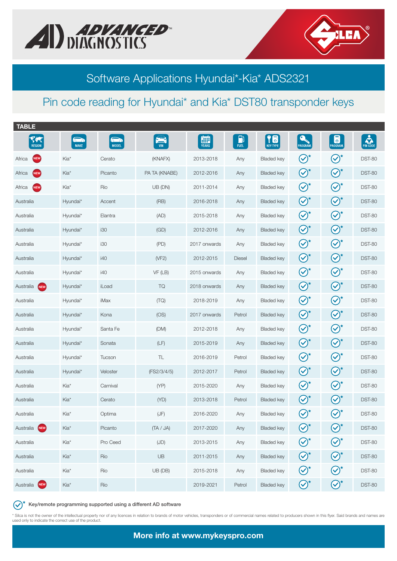



## Pin code reading for Hyundai\* and Kia\* DST80 transponder keys

| <b>TABLE</b>         |                        |                        |                            |                  |                             |                       |                      |                                     |               |
|----------------------|------------------------|------------------------|----------------------------|------------------|-----------------------------|-----------------------|----------------------|-------------------------------------|---------------|
| <b>REGION</b>        | $\sum$<br><b>MAKE</b>  | $\sum$<br><b>MODEL</b> | $\sum_{\vee\in\mathbb{N}}$ | <b>THE YEARS</b> | $\mathbf{D}$<br><b>FUEL</b> | 96<br><b>KEY TYPE</b> | PROGRAM.             | $\overline{\mathbf{6}}$<br>PROGRAM. | PIN CODE      |
| <b>NEW</b><br>Africa | Kia*                   | Cerato                 | (KNAFX)                    | 2013-2018        | Any                         | <b>Bladed key</b>     | $\bigodot^*$         | $\bigodot^*$                        | <b>DST-80</b> |
| Africa<br>NEW        | Kia*                   | Picanto                | PA TA (KNABE)              | 2012-2016        | Any                         | <b>Bladed key</b>     | $\bigodot^*$         | $\bigodot^{\!\star}$                | <b>DST-80</b> |
| Africa<br><b>NEW</b> | Kia*                   | Rio                    | UB (DN)                    | 2011-2014        | Any                         | <b>Bladed key</b>     | $\bigodot^*$         | $\bigodot^{\!\star}$                | <b>DST-80</b> |
| Australia            | Hyundai*               | Accent                 | (RB)                       | 2016-2018        | Any                         | <b>Bladed key</b>     | $\bigodot^*$         | $\bigodot^*$                        | <b>DST-80</b> |
| Australia            | Hyundai*               | Elantra                | (AD)                       | 2015-2018        | Any                         | <b>Bladed key</b>     | $\bigodot^*$         | $\bigodot^*$                        | <b>DST-80</b> |
| Australia            | Hyundai*               | i30                    | (GD)                       | 2012-2016        | Any                         | <b>Bladed key</b>     | $\bigodot^*$         | $\bigodot^*$                        | <b>DST-80</b> |
| Australia            | Hyundai*               | i30                    | (PD)                       | 2017 onwards     | Any                         | <b>Bladed key</b>     | $\bigodot^*$         | $\bigodot^*$                        | <b>DST-80</b> |
| Australia            | Hyundai*               | i40                    | (VF2)                      | 2012-2015        | <b>Diesel</b>               | <b>Bladed key</b>     | $\bigodot^*$         | $\bigodot^*$                        | <b>DST-80</b> |
| Australia            | Hyundai*               | i40                    | $VF$ (LB)                  | 2015 onwards     | Any                         | <b>Bladed key</b>     | $\bigodot^*$         | $\bigodot^*$                        | <b>DST-80</b> |
| Australia<br>NEW     | Hyundai*               | iLoad                  | <b>TQ</b>                  | 2018 onwards     | Any                         | <b>Bladed key</b>     | $\bigodot^*$         | $\bigodot^*$                        | <b>DST-80</b> |
| Australia            | Hyundai*               | iMax                   | (TQ)                       | 2018-2019        | Any                         | <b>Bladed key</b>     | $\bigodot^*$         | $\bigodot^*$                        | <b>DST-80</b> |
| Australia            | Hyundai*               | Kona                   | OS)                        | 2017 onwards     | Petrol                      | <b>Bladed key</b>     | $\bigodot^*$         | $\bigodot^*$                        | <b>DST-80</b> |
| Australia            | Hyundai*               | Santa Fe               | (DM)                       | 2012-2018        | Any                         | <b>Bladed key</b>     | $\bigodot^*$         | $\bigodot^*$                        | <b>DST-80</b> |
| Australia            | Hyundai*               | Sonata                 | (LF)                       | 2015-2019        | Any                         | <b>Bladed key</b>     | $\bigodot^*$         | $\bigodot^*$                        | <b>DST-80</b> |
| Australia            | Hyundai*               | Tucson                 | <b>TL</b>                  | 2016-2019        | Petrol                      | <b>Bladed key</b>     | $\bigodot^*$         | $\bigodot^*$                        | <b>DST-80</b> |
| Australia            | Hyundai*               | Veloster               | (FS2/3/4/5)                | 2012-2017        | Petrol                      | <b>Bladed key</b>     | $\bigodot^*$         | $\bigodot^*$                        | <b>DST-80</b> |
| Australia            | Kia*                   | Carnival               | (YP)                       | 2015-2020        | Any                         | <b>Bladed key</b>     | $\bigodot^*$         | $\bigodot^*$                        | <b>DST-80</b> |
| Australia            | Kia*                   | Cerato                 | (YD)                       | 2013-2018        | Petrol                      | <b>Bladed key</b>     | $\bigodot^*$         | $(\heartsuit)^\ast$                 | <b>DST-80</b> |
| Australia            | Kia*                   | Optima                 | (JF)                       | 2016-2020        | Any                         | <b>Bladed key</b>     | $(\heartsuit)^\star$ | $(\vee)$                            | <b>DST-80</b> |
| NEW<br>Australia     | Kia*                   | Picanto                | (TA / JA)                  | 2017-2020        | Any                         | <b>Bladed key</b>     | $\bigodot^*$         | $\bigodot^*$                        | <b>DST-80</b> |
| Australia            | $\mathsf{Kia}^{\star}$ | Pro Ceed               | (JD)                       | 2013-2015        | Any                         | <b>Bladed key</b>     | $\bigodot^*$         | $\bigodot^*$                        | <b>DST-80</b> |
| Australia            | Kia*                   | Rio                    | UB                         | 2011-2015        | Any                         | <b>Bladed key</b>     | $\bigodot^*$         | $\bigodot^*$                        | <b>DST-80</b> |
| Australia            | Kia*                   | Rio                    | UB (DB)                    | 2015-2018        | Any                         | <b>Bladed key</b>     | $\bigodot^*$         | $\bigodot^{\!\star}$                | <b>DST-80</b> |
| (NEW)<br>Australia   | Kia*                   | Rio                    |                            | 2019-2021        | Petrol                      | <b>Bladed key</b>     | $\bigodot^*$         | $\bigodot^*$                        | <b>DST-80</b> |
|                      |                        |                        |                            |                  |                             |                       |                      |                                     |               |

 $(\checkmark)^*$  Key/remote programming supported using a different AD software

\* Silca is not the owner of the intellectual property nor of any licences in relation to brands of motor vehicles, transponders or of commercial names related to producers shown in this flyer. Said brands and names are<br>use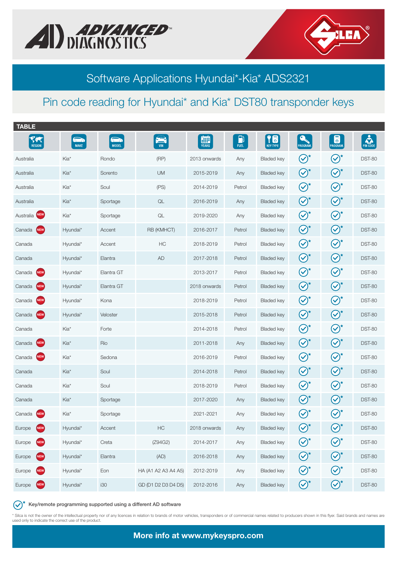



## Pin code reading for Hyundai\* and Kia\* DST80 transponder keys

| <b>TABLE</b>            |                            |                                                                                                                                             |                     |                  |                                                               |                                                                                                                                                |                      |                                  |               |
|-------------------------|----------------------------|---------------------------------------------------------------------------------------------------------------------------------------------|---------------------|------------------|---------------------------------------------------------------|------------------------------------------------------------------------------------------------------------------------------------------------|----------------------|----------------------------------|---------------|
| <b>REGION</b>           | <b>form</b><br><b>MAKE</b> | <b><u> 1999 - 1999 - 1999 - 1999 - 1999 - 1999 - 1999 - 1999 - 1999 - 1999 - 1999 - 1999 - 1999 - 1999 - 1999 - 199</u></b><br><b>MODEL</b> | É<br>VIN            | <b>THE YEARS</b> | $\begin{array}{c} \hline \text{H} \\ \text{FUEL} \end{array}$ | $\left[\begin{array}{cc} \color{red} \color{red} \color{black} \color{red} \color{black} \mathbf{R} \color{black} \end{array}\right]$ KEY TYPE | PROGRAM              | $\overline{\bullet}$<br>PROGRAM. | PIN CODE      |
| Australia               | Kia*                       | Rondo                                                                                                                                       | (RP)                | 2013 onwards     | Any                                                           | <b>Bladed key</b>                                                                                                                              | $\bigodot^*$         | $\bigodot^{\!\star}$             | <b>DST-80</b> |
| Australia               | Kia*                       | Sorento                                                                                                                                     | <b>UM</b>           | 2015-2019        | Any                                                           | <b>Bladed key</b>                                                                                                                              | $\bigodot^*$         | $\bigodot^{\!\star}$             | <b>DST-80</b> |
| Australia               | Kia*                       | Soul                                                                                                                                        | (PS)                | 2014-2019        | Petrol                                                        | <b>Bladed key</b>                                                                                                                              | $\bigodot^*$         | $\bigodot^*$                     | <b>DST-80</b> |
| Australia               | Kia*                       | Sportage                                                                                                                                    | $\mathsf{QL}$       | 2016-2019        | Any                                                           | <b>Bladed key</b>                                                                                                                              | $\bigodot^*$         | $\bigodot^*$                     | <b>DST-80</b> |
| <b>NEW</b><br>Australia | Kia*                       | Sportage                                                                                                                                    | $\mathsf{QL}$       | 2019-2020        | Any                                                           | <b>Bladed key</b>                                                                                                                              | $\bigodot^{\!\star}$ | $\bigodot^{\!\star}$             | <b>DST-80</b> |
| NEW<br>Canada           | Hyundai*                   | Accent                                                                                                                                      | RB (KMHCT)          | 2016-2017        | Petrol                                                        | <b>Bladed key</b>                                                                                                                              | $\bigodot^*$         | $\bigodot^*$                     | <b>DST-80</b> |
| Canada                  | Hyundai*                   | Accent                                                                                                                                      | HC                  | 2018-2019        | Petrol                                                        | <b>Bladed key</b>                                                                                                                              | $\bigodot^*$         | $\bigodot^*$                     | <b>DST-80</b> |
| Canada                  | Hyundai*                   | Elantra                                                                                                                                     | <b>AD</b>           | 2017-2018        | Petrol                                                        | <b>Bladed key</b>                                                                                                                              | $\bigodot^*$         | $\bigodot^*$                     | <b>DST-80</b> |
| <b>NEW</b><br>Canada    | Hyundai*                   | Elantra GT                                                                                                                                  |                     | 2013-2017        | Petrol                                                        | <b>Bladed key</b>                                                                                                                              | $\bigodot^{\!\star}$ | $\bigodot^{\!\star}$             | <b>DST-80</b> |
| Canada<br>NEW           | Hyundai*                   | Elantra GT                                                                                                                                  |                     | 2018 onwards     | Petrol                                                        | <b>Bladed key</b>                                                                                                                              | $\bigodot^*$         | $\bigodot^*$                     | <b>DST-80</b> |
| <b>NEW</b><br>Canada    | Hyundai*                   | Kona                                                                                                                                        |                     | 2018-2019        | Petrol                                                        | <b>Bladed key</b>                                                                                                                              | $\bigodot^{\!\star}$ | $\bigodot^*$                     | <b>DST-80</b> |
| Canada<br>NEW           | Hyundai*                   | Veloster                                                                                                                                    |                     | 2015-2018        | Petrol                                                        | <b>Bladed key</b>                                                                                                                              | $\bigodot^{\!\star}$ | $\bigodot^*$                     | <b>DST-80</b> |
| Canada                  | Kia*                       | Forte                                                                                                                                       |                     | 2014-2018        | Petrol                                                        | <b>Bladed key</b>                                                                                                                              | $\bigodot^{\!\star}$ | $\bigodot^{\!\star}$             | <b>DST-80</b> |
| NEW<br>Canada           | Kia*                       | Rio                                                                                                                                         |                     | 2011-2018        | Any                                                           | <b>Bladed key</b>                                                                                                                              | $\bigodot^*$         | $\bigodot^*$                     | <b>DST-80</b> |
| <b>NEW</b><br>Canada    | Kia*                       | Sedona                                                                                                                                      |                     | 2016-2019        | Petrol                                                        | <b>Bladed key</b>                                                                                                                              | $\bigodot^*$         | $\bigodot^{\!\star}$             | <b>DST-80</b> |
| Canada                  | Kia*                       | Soul                                                                                                                                        |                     | 2014-2018        | Petrol                                                        | <b>Bladed key</b>                                                                                                                              | $\bigodot^*$         | $\bigodot^{\!\star}$             | <b>DST-80</b> |
| Canada                  | Kia*                       | Soul                                                                                                                                        |                     | 2018-2019        | Petrol                                                        | <b>Bladed key</b>                                                                                                                              | $\bigodot^*$         | $\bigodot^*$                     | <b>DST-80</b> |
| Canada                  | Kia*                       | Sportage                                                                                                                                    |                     | 2017-2020        | Any                                                           | <b>Bladed key</b>                                                                                                                              | $\bigodot^*$         | $(\heartsuit)^\ast$              | <b>DST-80</b> |
| NEW<br>Canada           | Kia*                       | Sportage                                                                                                                                    |                     | 2021-2021        | Any                                                           | <b>Bladed key</b>                                                                                                                              | $(\heartsuit)$       | $(\heartsuit)$                   | <b>DST-80</b> |
| NEW<br>Europe           | Hyundai*                   | Accent                                                                                                                                      | HC                  | 2018 onwards     | Any                                                           | <b>Bladed key</b>                                                                                                                              | $\bigodot^*$         | $\bigodot^*$                     | <b>DST-80</b> |
| Europe<br><b>NEW</b>    | Hyundai*                   | Creta                                                                                                                                       | (Z94G2)             | 2014-2017        | Any                                                           | <b>Bladed key</b>                                                                                                                              | $\bigodot^*$         | $\bigodot^{\!\star}$             | <b>DST-80</b> |
| Europe<br><b>NEW</b>    | Hyundai*                   | Elantra                                                                                                                                     | (AD)                | 2016-2018        | Any                                                           | <b>Bladed key</b>                                                                                                                              | $\bigodot^*$         | $\bigodot^*$                     | <b>DST-80</b> |
| Europe<br><b>NEW</b>    | Hyundai*                   | Eon                                                                                                                                         | HA (A1 A2 A3 A4 A5) | 2012-2019        | Any                                                           | <b>Bladed key</b>                                                                                                                              | $\bigodot^*$         | $\bigodot^{\!\star}$             | <b>DST-80</b> |
| <b>NEW</b><br>Europe    | Hyundai*                   | i30                                                                                                                                         | GD (D1 D2 D3 D4 D5) | 2012-2016        | Any                                                           | <b>Bladed key</b>                                                                                                                              | $\bigodot^*$         | $\bigodot^*$                     | <b>DST-80</b> |
|                         |                            |                                                                                                                                             |                     |                  |                                                               |                                                                                                                                                |                      |                                  |               |

 $(\checkmark)^*$  Key/remote programming supported using a different AD software

\* Silca is not the owner of the intellectual property nor of any licences in relation to brands of motor vehicles, transponders or of commercial names related to producers shown in this flyer. Said brands and names are<br>use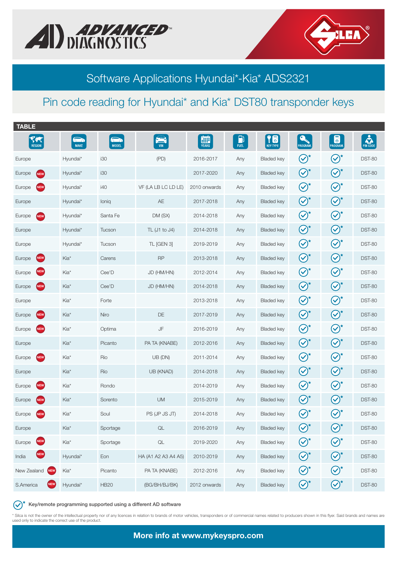



## Pin code reading for Hyundai\* and Kia\* DST80 transponder keys

| <b>TABLE</b>              |                          |                                      |                                   |                   |                                                          |                                                                                                                                                |                      |                                  |               |
|---------------------------|--------------------------|--------------------------------------|-----------------------------------|-------------------|----------------------------------------------------------|------------------------------------------------------------------------------------------------------------------------------------------------|----------------------|----------------------------------|---------------|
| <b>REGION</b>             | $\bullet$<br><b>MAKE</b> | $\overline{\bullet}$<br><b>MODEL</b> | أكثأ<br>VIN                       | 雦<br><b>YEARS</b> | $\begin{matrix} 1 \\ 1 \\ 2 \\ 3 \\ 4 \end{matrix}$ FUEL | $\left[\begin{array}{cc} \color{red} \color{red} \color{black} \color{red} \color{black} \mathbf{R} \color{black} \end{array}\right]$ KEY TYPE | PROGRAM              | $\overline{\bullet}$<br>PROGRAM. | PIN CODE      |
| Europe                    | Hyundai*                 | i30                                  | (PD)                              | 2016-2017         | Any                                                      | <b>Bladed key</b>                                                                                                                              | $\bigodot^*$         | $\bigodot^*$                     | <b>DST-80</b> |
| NEW<br>Europe             | Hyundai*                 | i30                                  |                                   | 2017-2020         | Any                                                      | <b>Bladed key</b>                                                                                                                              | $\bigodot^{\!\star}$ | $\bigodot^{\!\star}$             | <b>DST-80</b> |
| <b>NEW</b><br>Europe      | Hyundai*                 | i40                                  | VF (LA LB LC LD LE)               | 2010 onwards      | Any                                                      | <b>Bladed key</b>                                                                                                                              | $\bigodot^*$         | $\bigodot^*$                     | <b>DST-80</b> |
| Europe                    | Hyundai*                 | loniq                                | AE                                | 2017-2018         | Any                                                      | <b>Bladed key</b>                                                                                                                              | $\bigodot^*$         | $\bigodot^*$                     | <b>DST-80</b> |
| Europe<br><b>NEW</b>      | Hyundai*                 | Santa Fe                             | DM (SX)                           | 2014-2018         | Any                                                      | <b>Bladed key</b>                                                                                                                              | $\bigodot^*$         | $\bigodot^*$                     | <b>DST-80</b> |
| Europe                    | Hyundai*                 | Tucson                               | TL (J1 to J4)                     | 2014-2018         | Any                                                      | <b>Bladed key</b>                                                                                                                              | $\bigodot^{\!\star}$ | $\bigodot^*$                     | <b>DST-80</b> |
| Europe                    | Hyundai*                 | Tucson                               | TL [GEN 3]                        | 2019-2019         | Any                                                      | <b>Bladed key</b>                                                                                                                              | $\bigodot^*$         | $\bigodot^*$                     | <b>DST-80</b> |
| <b>NEW</b><br>Europe      | Kia*                     | Carens                               | <b>RP</b>                         | 2013-2018         | Any                                                      | <b>Bladed key</b>                                                                                                                              | $\bigodot^*$         | $\bigodot^*$                     | <b>DST-80</b> |
| <b>NEW</b><br>Europe      | Kia*                     | Cee'D                                | JD (HM/HN)                        | 2012-2014         | Any                                                      | <b>Bladed key</b>                                                                                                                              | $\bigodot^*$         | $\bigodot^{\!\star}$             | <b>DST-80</b> |
| NEW<br>Europe             | Kia*                     | Cee'D                                | JD (HM/HN)                        | 2014-2018         | Any                                                      | <b>Bladed key</b>                                                                                                                              | $\bigodot^*$         | $\bigodot^*$                     | <b>DST-80</b> |
| Europe                    | Kia*                     | Forte                                |                                   | 2013-2018         | Any                                                      | <b>Bladed key</b>                                                                                                                              | $\bigodot^*$         | $\bigodot^*$                     | <b>DST-80</b> |
| NEW<br>Europe             | Kia*                     | Niro                                 | $\mathsf{DE}% _{T}$               | 2017-2019         | Any                                                      | <b>Bladed key</b>                                                                                                                              | $\bigodot^*$         | $\bigodot^*$                     | <b>DST-80</b> |
| <b>NEW</b><br>Europe      | Kia*                     | Optima                               | JF                                | 2016-2019         | Any                                                      | <b>Bladed key</b>                                                                                                                              | $\bigodot^*$         | $\bigodot^*$                     | <b>DST-80</b> |
| Europe                    | Kia*                     | Picanto                              | PA TA (KNABE)                     | 2012-2016         | Any                                                      | <b>Bladed key</b>                                                                                                                              | $\bigodot^*$         | $\bigodot^*$                     | <b>DST-80</b> |
| <b>NEW</b><br>Europe      | Kia*                     | Rio                                  | UB (DN)                           | 2011-2014         | Any                                                      | <b>Bladed key</b>                                                                                                                              | $\bigodot^*$         | $\bigodot^*$                     | <b>DST-80</b> |
| Europe                    | Kia*                     | Rio                                  | UB (KNAD)                         | 2014-2018         | Any                                                      | <b>Bladed key</b>                                                                                                                              | $\bigodot^*$         | $\bigodot^*$                     | <b>DST-80</b> |
| <b>NEW</b><br>Europe      | Kia*                     | Rondo                                |                                   | 2014-2019         | Any                                                      | <b>Bladed key</b>                                                                                                                              | $\bigodot^*$         | $\bigodot^*$                     | <b>DST-80</b> |
| <b>NEW</b><br>Europe      | Kia*                     | Sorento                              | <b>UM</b>                         | 2015-2019         | Any                                                      | <b>Bladed key</b>                                                                                                                              | $\bigodot^*$         | $\bigodot^*$                     | <b>DST-80</b> |
| <b>NEW</b><br>Europe      | Kia*                     | Soul                                 | PS (JP JS JT)                     | 2014-2018         | Any                                                      | <b>Bladed key</b>                                                                                                                              | $(\heartsuit)$       | $(\heartsuit)$                   | <b>DST-80</b> |
| Europe                    | Kia*                     | Sportage                             | $\mathsf{QL}$                     | 2016-2019         | Any                                                      | <b>Bladed key</b>                                                                                                                              | $(\!\!\sqrt\!)^*$    | $\bigodot^*$                     | <b>DST-80</b> |
| <b>NEW</b><br>Europe      | Kia*                     | Sportage                             | $\hbox{\ensuremath{\mathsf{QL}}}$ | 2019-2020         | Any                                                      | <b>Bladed key</b>                                                                                                                              | $\bigodot^*$         | $\bigodot^*$                     | <b>DST-80</b> |
| <b>NEW</b><br>India       | Hyundai*                 | Eon                                  | HA (A1 A2 A3 A4 A5)               | 2010-2019         | Any                                                      | <b>Bladed key</b>                                                                                                                              | $\bigodot^*$         | $\bigodot^*$                     | <b>DST-80</b> |
| New Zealand<br><b>NEW</b> | $Kia^*$                  | Picanto                              | PA TA (KNABE)                     | 2012-2016         | Any                                                      | <b>Bladed key</b>                                                                                                                              | $(\!\vee\!)^*$       | $\bigodot^{\!\star}$             | <b>DST-80</b> |
| S.America<br>NEW          | Hyundai*                 | <b>HB20</b>                          | (BG/BH/BJ/BK)                     | 2012 onwards      | Any                                                      | <b>Bladed key</b>                                                                                                                              | $\bigodot^*$         | $\bigodot^*$                     | <b>DST-80</b> |
|                           |                          |                                      |                                   |                   |                                                          |                                                                                                                                                |                      |                                  |               |

 $(\checkmark)^*$  Key/remote programming supported using a different AD software

\* Silca is not the owner of the intellectual property nor of any licences in relation to brands of motor vehicles, transponders or of commercial names related to producers shown in this flyer. Said brands and names are<br>use